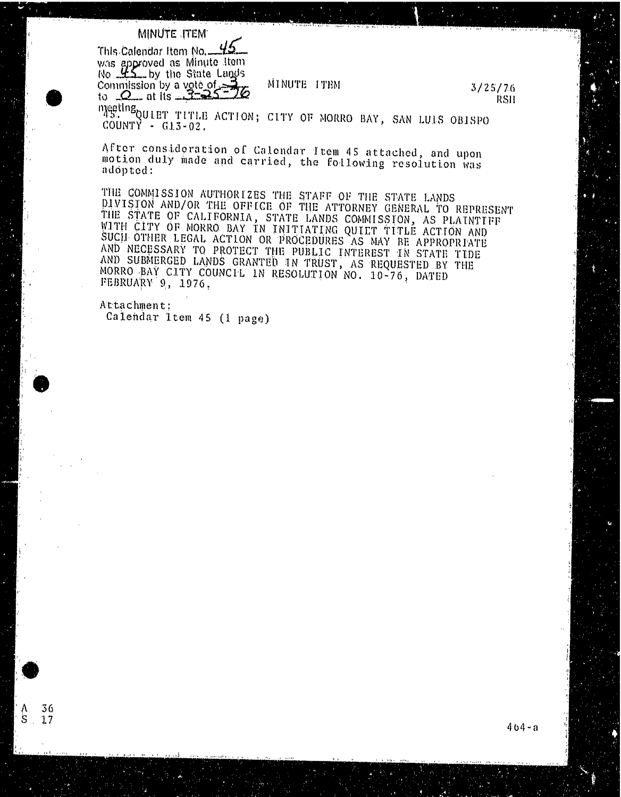## MINUTE .ITEM

This Calendar Item No. was approved as minute item  $N_0$   $\mathcal{L}$   $\mathcal{L}$  by the State Langes Commission by a vote of  $\frac{3}{25}$  MINUTE ITEM  $\frac{3}{25}$  3/25/76 to  $\mathcal{L}_{\text{max}}$  at Hs  $\mathcal{L}_{\text{max}}$   $\mathcal{L}_{\text{max}}$ 

AS SUPPLIET TITLE ACTION; CITY OF MORRO BAY, SAN LULS OBISPO COUNTY - G13-02.

After consideration of Calendar Item 45 attached, and upon motion duly made and carried, the following resolution was adopted :

THE COMMISSION AUTHORIZES THE STAFF OF THE STATE LANDS DIVISION AND/OR THE OFFICE OF THE ATTORNEY GENERAL TO REPRESENT THE STATE OF CALIFORNIA, STATE LANDS COMMISSION, AS PLAINTIFF WITH CITY OF MORRO BAY IN INITIATING OUILT TITLE ACTION AND SUCH. OTHER LEGAL ACTION OR PROCEDURES AS MAY BE APPROPRIATE AND NECESSARY TO PROTECT THE PUBLIC INTEREST IN STATE TIDE AND SUBMERGED LANDS GRANTED IN TRUST, AS REQUESTED BY THE MORRO BAY CITY COUNCIL IN RESOLUTION NO. 10-76, DATED FEBRUARY 9, 1976,

Attachment ; Calendar 1tem 45 (1 page)

36  $S<sub>17</sub>$